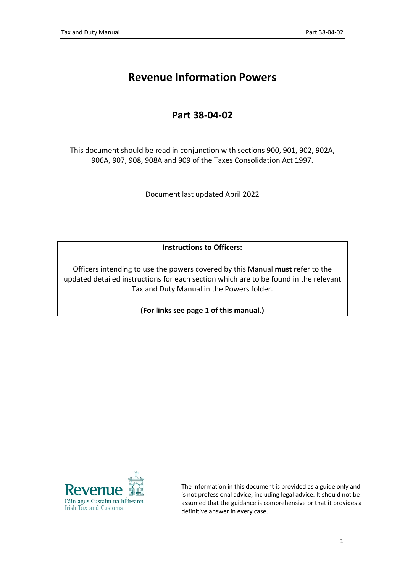# **Revenue Information Powers**

## **Part 38-04-02**

This document should be read in conjunction with sections 900, 901, 902, 902A, 906A, 907, 908, 908A and 909 of the Taxes Consolidation Act 1997.

Document last updated April 2022

**Instructions to Officers:**

Officers intending to use the powers covered by this Manual **must** refer to the updated detailed instructions for each section which are to be found in the relevant Tax and Duty Manual in the Powers folder.

**(For links see page 1 of this manual.)**



The information in this document is provided as a guide only and is not professional advice, including legal advice. It should not be assumed that the guidance is comprehensive or that it provides a definitive answer in every case.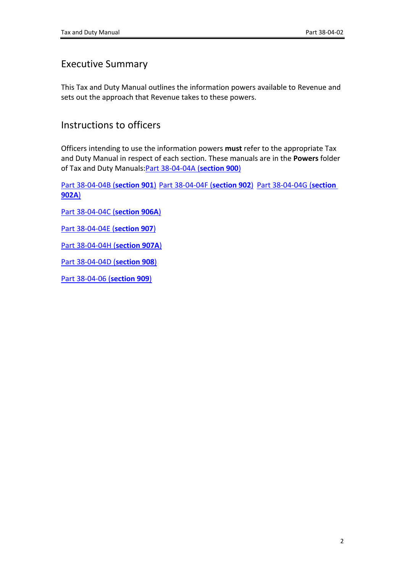### Executive Summary

This Tax and Duty Manual outlines the information powers available to Revenue and sets out the approach that Revenue takes to these powers.

### Instructions to officers

Officers intending to use the information powers **must** refer to the appropriate Tax and Duty Manual in respect of each section. These manuals are in the **Powers** folder of Tax and Duty Manuals:[Part](https://www.revenue.ie/en/tax-professionals/tdm/powers/38-04-04a.pdf) [38-04-04A](https://www.revenue.ie/en/tax-professionals/tdm/powers/38-04-04a.pdf) [\(](https://www.revenue.ie/en/tax-professionals/tdm/powers/38-04-04a.pdf)**[section](https://www.revenue.ie/en/tax-professionals/tdm/powers/38-04-04a.pdf) [900](https://www.revenue.ie/en/tax-professionals/tdm/powers/38-04-04a.pdf)**[\)](https://www.revenue.ie/en/tax-professionals/tdm/powers/38-04-04a.pdf)

[Part](https://www.revenue.ie/en/tax-professionals/tdm/powers/38-04-04b.pdf) [38-04-04B](https://www.revenue.ie/en/tax-professionals/tdm/powers/38-04-04b.pdf) [\(](https://www.revenue.ie/en/tax-professionals/tdm/powers/38-04-04b.pdf)**[section](https://www.revenue.ie/en/tax-professionals/tdm/powers/38-04-04b.pdf) [901](https://www.revenue.ie/en/tax-professionals/tdm/powers/38-04-04b.pdf)**[\)](https://www.revenue.ie/en/tax-professionals/tdm/powers/38-04-04b.pdf) [Part](https://www.revenue.ie/en/tax-professionals/tdm/powers/38-04-04f.pdf) [38-04-04F](https://www.revenue.ie/en/tax-professionals/tdm/powers/38-04-04f.pdf) [\(](https://www.revenue.ie/en/tax-professionals/tdm/powers/38-04-04f.pdf)**[section](https://www.revenue.ie/en/tax-professionals/tdm/powers/38-04-04f.pdf) [902](https://www.revenue.ie/en/tax-professionals/tdm/powers/38-04-04f.pdf)**[\)](https://www.revenue.ie/en/tax-professionals/tdm/powers/38-04-04f.pdf) [Part](https://www.revenue.ie/en/tax-professionals/tdm/powers/38-04-04g.pdf) [38-04-04G](https://www.revenue.ie/en/tax-professionals/tdm/powers/38-04-04g.pdf) [\(](https://www.revenue.ie/en/tax-professionals/tdm/powers/38-04-04g.pdf)**[section](https://www.revenue.ie/en/tax-professionals/tdm/powers/38-04-04g.pdf) [902A](https://www.revenue.ie/en/tax-professionals/tdm/powers/38-04-04g.pdf)**[\)](https://www.revenue.ie/en/tax-professionals/tdm/powers/38-04-04g.pdf)

[Part](https://www.revenue.ie/en/tax-professionals/tdm/powers/38-04-04c.pdf) [38-04-04C](https://www.revenue.ie/en/tax-professionals/tdm/powers/38-04-04c.pdf) [\(](https://www.revenue.ie/en/tax-professionals/tdm/powers/38-04-04c.pdf)**[section](https://www.revenue.ie/en/tax-professionals/tdm/powers/38-04-04c.pdf) [906A](https://www.revenue.ie/en/tax-professionals/tdm/powers/38-04-04c.pdf)**[\)](https://www.revenue.ie/en/tax-professionals/tdm/powers/38-04-04c.pdf)

[Part](https://www.revenue.ie/en/tax-professionals/tdm/powers/38-04-04e.pdf) [38-04-04E](https://www.revenue.ie/en/tax-professionals/tdm/powers/38-04-04e.pdf) [\(](https://www.revenue.ie/en/tax-professionals/tdm/powers/38-04-04e.pdf)**[section](https://www.revenue.ie/en/tax-professionals/tdm/powers/38-04-04e.pdf) [907](https://www.revenue.ie/en/tax-professionals/tdm/powers/38-04-04e.pdf)**[\)](https://www.revenue.ie/en/tax-professionals/tdm/powers/38-04-04e.pdf)

[Part](https://www.revenue.ie/en/tax-professionals/tdm/powers/38-04-04h.pdf) [38-04-04H](https://www.revenue.ie/en/tax-professionals/tdm/powers/38-04-04h.pdf) [\(](https://www.revenue.ie/en/tax-professionals/tdm/powers/38-04-04h.pdf)**[section](https://www.revenue.ie/en/tax-professionals/tdm/powers/38-04-04h.pdf) [907A](https://www.revenue.ie/en/tax-professionals/tdm/powers/38-04-04h.pdf)**[\)](https://www.revenue.ie/en/tax-professionals/tdm/powers/38-04-04h.pdf)

[Part](https://www.revenue.ie/en/tax-professionals/tdm/powers/38-04-04d.pdf) [38-04-04D](https://www.revenue.ie/en/tax-professionals/tdm/powers/38-04-04d.pdf) [\(](https://www.revenue.ie/en/tax-professionals/tdm/powers/38-04-04d.pdf)**[section](https://www.revenue.ie/en/tax-professionals/tdm/powers/38-04-04d.pdf) [908](https://www.revenue.ie/en/tax-professionals/tdm/powers/38-04-04d.pdf)**[\)](https://www.revenue.ie/en/tax-professionals/tdm/powers/38-04-04d.pdf)

[Part](https://www.revenue.ie/en/tax-professionals/tdm/powers/38-04-06.pdf) [38-04-06](https://www.revenue.ie/en/tax-professionals/tdm/powers/38-04-06.pdf) [\(](https://www.revenue.ie/en/tax-professionals/tdm/powers/38-04-06.pdf)**[section](https://www.revenue.ie/en/tax-professionals/tdm/powers/38-04-06.pdf) [909](https://www.revenue.ie/en/tax-professionals/tdm/powers/38-04-06.pdf)**[\)](https://www.revenue.ie/en/tax-professionals/tdm/powers/38-04-06.pdf)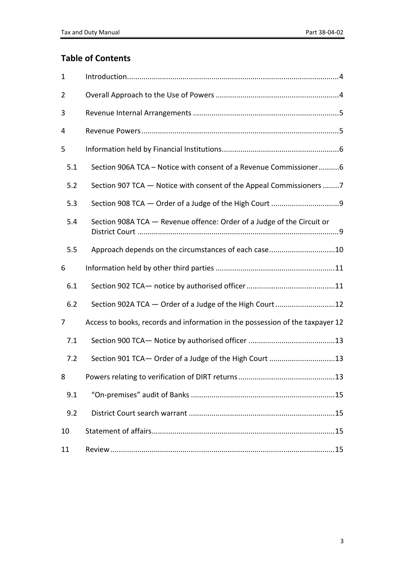## **Table of Contents**

| 1              |                                                                               |
|----------------|-------------------------------------------------------------------------------|
| $\overline{2}$ |                                                                               |
| 3              |                                                                               |
| 4              |                                                                               |
| 5              |                                                                               |
| 5.1            | Section 906A TCA - Notice with consent of a Revenue Commissioner6             |
| 5.2            | Section 907 TCA - Notice with consent of the Appeal Commissioners 7           |
| 5.3            |                                                                               |
| 5.4            | Section 908A TCA - Revenue offence: Order of a Judge of the Circuit or        |
| 5.5            | Approach depends on the circumstances of each case10                          |
| 6              |                                                                               |
| 6.1            |                                                                               |
| 6.2            | Section 902A TCA - Order of a Judge of the High Court12                       |
| 7              | Access to books, records and information in the possession of the taxpayer 12 |
| 7.1            |                                                                               |
| 7.2            | Section 901 TCA- Order of a Judge of the High Court 13                        |
| 8              | Powers relating to verification of DIRT returns<br>13                         |
| 9.1            |                                                                               |
| 9.2            |                                                                               |
| 10             |                                                                               |
| 11             |                                                                               |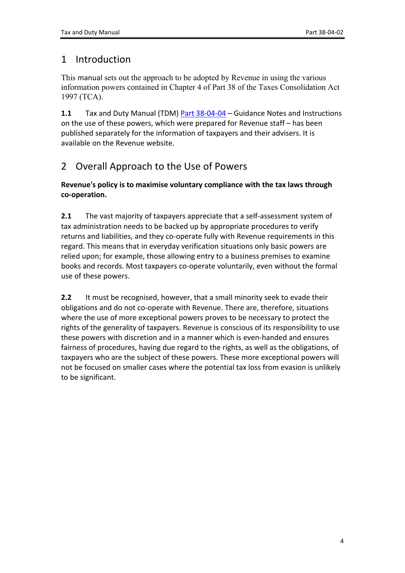## <span id="page-3-0"></span>1 Introduction

This manual sets out the approach to be adopted by Revenue in using the various information powers contained in Chapter 4 of Part 38 of the Taxes Consolidation Act 1997 (TCA).

**1.1** Tax and Duty Manual (TDM) [Part](https://www.revenue.ie/en/tax-professionals/tdm/powers/38-04-04.pdf) [38-04-04](https://www.revenue.ie/en/tax-professionals/tdm/powers/38-04-04.pdf) – Guidance Notes and Instructions on the use of these powers, which were prepared for Revenue staff – has been published separately for the information of taxpayers and their advisers. It is available on the Revenue website.

# <span id="page-3-1"></span>2 Overall Approach to the Use of Powers

#### **Revenue's policy is to maximise voluntary compliance with the tax laws through co-operation.**

**2.1** The vast majority of taxpayers appreciate that a self-assessment system of tax administration needs to be backed up by appropriate procedures to verify returns and liabilities, and they co-operate fully with Revenue requirements in this regard. This means that in everyday verification situations only basic powers are relied upon; for example, those allowing entry to a business premises to examine books and records. Most taxpayers co-operate voluntarily, even without the formal use of these powers.

**2.2** It must be recognised, however, that a small minority seek to evade their obligations and do not co-operate with Revenue. There are, therefore, situations where the use of more exceptional powers proves to be necessary to protect the rights of the generality of taxpayers. Revenue is conscious of its responsibility to use these powers with discretion and in a manner which is even-handed and ensures fairness of procedures, having due regard to the rights, as well as the obligations, of taxpayers who are the subject of these powers. These more exceptional powers will not be focused on smaller cases where the potential tax loss from evasion is unlikely to be significant.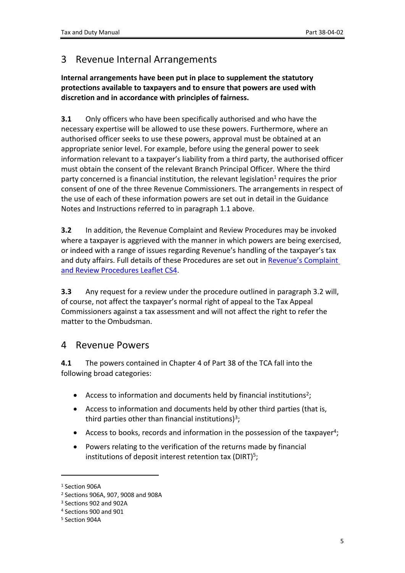## <span id="page-4-0"></span>3 Revenue Internal Arrangements

**Internal arrangements have been put in place to supplement the statutory protections available to taxpayers and to ensure that powers are used with discretion and in accordance with principles of fairness.**

**3.1** Only officers who have been specifically authorised and who have the necessary expertise will be allowed to use these powers. Furthermore, where an authorised officer seeks to use these powers, approval must be obtained at an appropriate senior level. For example, before using the general power to seek information relevant to a taxpayer's liability from a third party, the authorised officer must obtain the consent of the relevant Branch Principal Officer. Where the third party concerned is a financial institution, the relevant legislation<sup>1</sup> requires the prior consent of one of the three Revenue Commissioners. The arrangements in respect of the use of each of these information powers are set out in detail in the Guidance Notes and Instructions referred to in paragraph 1.1 above.

**3.2** In addition, the Revenue Complaint and Review Procedures may be invoked where a taxpayer is aggrieved with the manner in which powers are being exercised, or indeed with a range of issues regarding Revenue's handling of the taxpayer's tax and duty affairs. Full details of these Procedures are set out in [Revenue's](https://www.revenue.ie/en/corporate/documents/customer-service/cs4.pdf) [Complaint](https://www.revenue.ie/en/corporate/documents/customer-service/cs4.pdf) [and](https://www.revenue.ie/en/corporate/documents/customer-service/cs4.pdf) [Review](https://www.revenue.ie/en/corporate/documents/customer-service/cs4.pdf) [Procedures](https://www.revenue.ie/en/corporate/documents/customer-service/cs4.pdf) [Leaflet](https://www.revenue.ie/en/corporate/documents/customer-service/cs4.pdf) [CS4.](https://www.revenue.ie/en/corporate/documents/customer-service/cs4.pdf)

**3.3** Any request for a review under the procedure outlined in paragraph 3.2 will, of course, not affect the taxpayer's normal right of appeal to the Tax Appeal Commissioners against a tax assessment and will not affect the right to refer the matter to the Ombudsman.

### <span id="page-4-1"></span>4 Revenue Powers

**4.1** The powers contained in Chapter 4 of Part 38 of the TCA fall into the following broad categories:

- Access to information and documents held by financial institutions<sup>2</sup>;
- Access to information and documents held by other third parties (that is, third parties other than financial institutions)<sup>3</sup>;
- Access to books, records and information in the possession of the taxpayer<sup>4</sup>;
- Powers relating to the verification of the returns made by financial institutions of deposit interest retention tax (DIRT)<sup>5</sup>;

<sup>&</sup>lt;sup>1</sup> Section 906A

<sup>2</sup> Sections 906A, 907, 9008 and 908A

<sup>3</sup> Sections 902 and 902A

<sup>4</sup> Sections 900 and 901

<sup>5</sup> Section 904A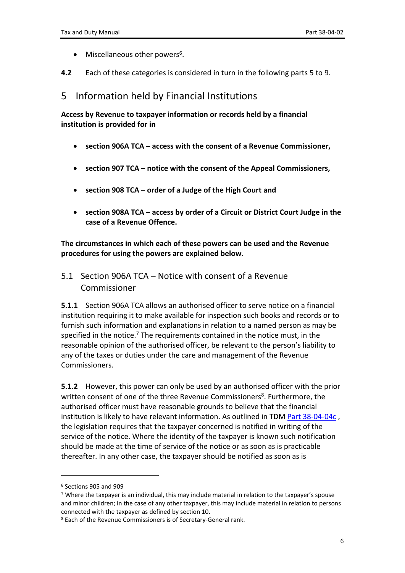- Miscellaneous other powers<sup>6</sup>.
- **4.2** Each of these categories is considered in turn in the following parts 5 to 9.

### <span id="page-5-0"></span>5 Information held by Financial Institutions

**Access by Revenue to taxpayer information or records held by a financial institution is provided for in**

- **section 906A TCA – access with the consent of a Revenue Commissioner,**
- **section 907 TCA – notice with the consent of the Appeal Commissioners,**
- **section 908 TCA – order of a Judge of the High Court and**
- **section 908A TCA – access by order of a Circuit or District Court Judge in the case of a Revenue Offence.**

**The circumstances in which each of these powers can be used and the Revenue procedures for using the powers are explained below.**

<span id="page-5-1"></span>5.1 Section 906A TCA – Notice with consent of a Revenue Commissioner

**5.1.1** Section 906A TCA allows an authorised officer to serve notice on a financial institution requiring it to make available for inspection such books and records or to furnish such information and explanations in relation to a named person as may be specified in the notice.<sup>7</sup> The requirements contained in the notice must, in the reasonable opinion of the authorised officer, be relevant to the person's liability to any of the taxes or duties under the care and management of the Revenue Commissioners.

**5.1.2** However, this power can only be used by an authorised officer with the prior written consent of one of the three Revenue Commissioners<sup>8</sup>. Furthermore, the authorised officer must have reasonable grounds to believe that the financial institution is likely to have relevant information. As outlined in TDM [Part](https://www.revenue.ie/en/tax-professionals/tdm/powers/38-04-04c.pdf) [38-04-04c](https://www.revenue.ie/en/tax-professionals/tdm/powers/38-04-04c.pdf) , the legislation requires that the taxpayer concerned is notified in writing of the service of the notice. Where the identity of the taxpayer is known such notification should be made at the time of service of the notice or as soon as is practicable thereafter. In any other case, the taxpayer should be notified as soon as is

<sup>6</sup> Sections 905 and 909

 $7$  Where the taxpayer is an individual, this may include material in relation to the taxpayer's spouse and minor children; in the case of any other taxpayer, this may include material in relation to persons connected with the taxpayer as defined by section 10.

<sup>8</sup> Each of the Revenue Commissioners is of Secretary-General rank.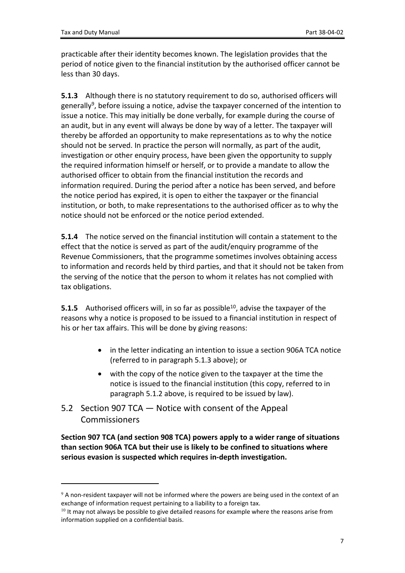practicable after their identity becomes known. The legislation provides that the period of notice given to the financial institution by the authorised officer cannot be less than 30 days.

**5.1.3** Although there is no statutory requirement to do so, authorised officers will generally<sup>9</sup>, before issuing a notice, advise the taxpayer concerned of the intention to issue a notice. This may initially be done verbally, for example during the course of an audit, but in any event will always be done by way of a letter. The taxpayer will thereby be afforded an opportunity to make representations as to why the notice should not be served. In practice the person will normally, as part of the audit, investigation or other enquiry process, have been given the opportunity to supply the required information himself or herself, or to provide a mandate to allow the authorised officer to obtain from the financial institution the records and information required. During the period after a notice has been served, and before the notice period has expired, it is open to either the taxpayer or the financial institution, or both, to make representations to the authorised officer as to why the notice should not be enforced or the notice period extended.

**5.1.4** The notice served on the financial institution will contain a statement to the effect that the notice is served as part of the audit/enquiry programme of the Revenue Commissioners, that the programme sometimes involves obtaining access to information and records held by third parties, and that it should not be taken from the serving of the notice that the person to whom it relates has not complied with tax obligations.

**5.1.5** Authorised officers will, in so far as possible<sup>10</sup>, advise the taxpayer of the reasons why a notice is proposed to be issued to a financial institution in respect of his or her tax affairs. This will be done by giving reasons:

- in the letter indicating an intention to issue a section 906A TCA notice (referred to in paragraph 5.1.3 above); or
- with the copy of the notice given to the taxpayer at the time the notice is issued to the financial institution (this copy, referred to in paragraph 5.1.2 above, is required to be issued by law).
- <span id="page-6-0"></span>5.2 Section 907 TCA — Notice with consent of the Appeal Commissioners

**Section 907 TCA (and section 908 TCA) powers apply to a wider range of situations than section 906A TCA but their use is likely to be confined to situations where serious evasion is suspected which requires in-depth investigation.**

<sup>&</sup>lt;sup>9</sup> A non-resident taxpayer will not be informed where the powers are being used in the context of an exchange of information request pertaining to a liability to a foreign tax.

 $10$  It may not always be possible to give detailed reasons for example where the reasons arise from information supplied on a confidential basis.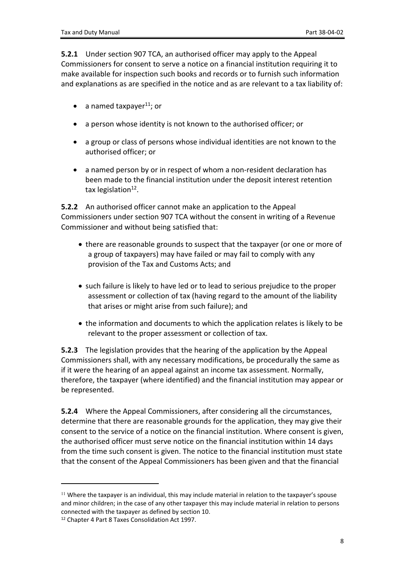**5.2.1** Under section 907 TCA, an authorised officer may apply to the Appeal Commissioners for consent to serve a notice on a financial institution requiring it to make available for inspection such books and records or to furnish such information and explanations as are specified in the notice and as are relevant to a tax liability of:

- a named taxpayer $^{11}$ ; or
- a person whose identity is not known to the authorised officer; or
- a group or class of persons whose individual identities are not known to the authorised officer; or
- a named person by or in respect of whom a non-resident declaration has been made to the financial institution under the deposit interest retention tax legislation<sup>12</sup>.

**5.2.2** An authorised officer cannot make an application to the Appeal Commissioners under section 907 TCA without the consent in writing of a Revenue Commissioner and without being satisfied that:

- there are reasonable grounds to suspect that the taxpayer (or one or more of a group of taxpayers) may have failed or may fail to comply with any provision of the Tax and Customs Acts; and
- such failure is likely to have led or to lead to serious prejudice to the proper assessment or collection of tax (having regard to the amount of the liability that arises or might arise from such failure); and
- the information and documents to which the application relates is likely to be relevant to the proper assessment or collection of tax.

**5.2.3** The legislation provides that the hearing of the application by the Appeal Commissioners shall, with any necessary modifications, be procedurally the same as if it were the hearing of an appeal against an income tax assessment. Normally, therefore, the taxpayer (where identified) and the financial institution may appear or be represented.

**5.2.4** Where the Appeal Commissioners, after considering all the circumstances, determine that there are reasonable grounds for the application, they may give their consent to the service of a notice on the financial institution. Where consent is given, the authorised officer must serve notice on the financial institution within 14 days from the time such consent is given. The notice to the financial institution must state that the consent of the Appeal Commissioners has been given and that the financial

<sup>&</sup>lt;sup>11</sup> Where the taxpayer is an individual, this may include material in relation to the taxpayer's spouse and minor children; in the case of any other taxpayer this may include material in relation to persons connected with the taxpayer as defined by section 10.

<sup>12</sup> Chapter 4 Part 8 Taxes Consolidation Act 1997.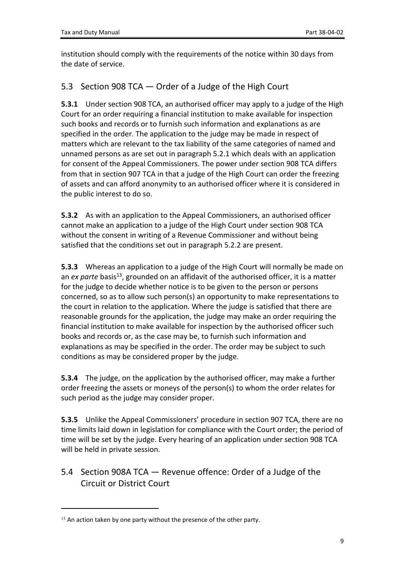institution should comply with the requirements of the notice within 30 days from the date of service.

### <span id="page-8-0"></span>5.3 Section 908 TCA — Order of a Judge of the High Court

**5.3.1** Under section 908 TCA, an authorised officer may apply to a judge of the High Court for an order requiring a financial institution to make available for inspection such books and records or to furnish such information and explanations as are specified in the order. The application to the judge may be made in respect of matters which are relevant to the tax liability of the same categories of named and unnamed persons as are set out in paragraph 5.2.1 which deals with an application for consent of the Appeal Commissioners. The power under section 908 TCA differs from that in section 907 TCA in that a judge of the High Court can order the freezing of assets and can afford anonymity to an authorised officer where it is considered in the public interest to do so.

**5.3.2** As with an application to the Appeal Commissioners, an authorised officer cannot make an application to a judge of the High Court under section 908 TCA without the consent in writing of a Revenue Commissioner and without being satisfied that the conditions set out in paragraph 5.2.2 are present.

**5.3.3** Whereas an application to a judge of the High Court will normally be made on an *ex parte* basis<sup>13</sup>, grounded on an affidavit of the authorised officer, it is a matter for the judge to decide whether notice is to be given to the person or persons concerned, so as to allow such person(s) an opportunity to make representations to the court in relation to the application. Where the judge is satisfied that there are reasonable grounds for the application, the judge may make an order requiring the financial institution to make available for inspection by the authorised officer such books and records or, as the case may be, to furnish such information and explanations as may be specified in the order. The order may be subject to such conditions as may be considered proper by the judge.

**5.3.4** The judge, on the application by the authorised officer, may make a further order freezing the assets or moneys of the person(s) to whom the order relates for such period as the judge may consider proper.

**5.3.5** Unlike the Appeal Commissioners' procedure in section 907 TCA, there are no time limits laid down in legislation for compliance with the Court order; the period of time will be set by the judge. Every hearing of an application under section 908 TCA will be held in private session.

<span id="page-8-1"></span>5.4 Section 908A TCA — Revenue offence: Order of a Judge of the Circuit or District Court

 $13$  An action taken by one party without the presence of the other party.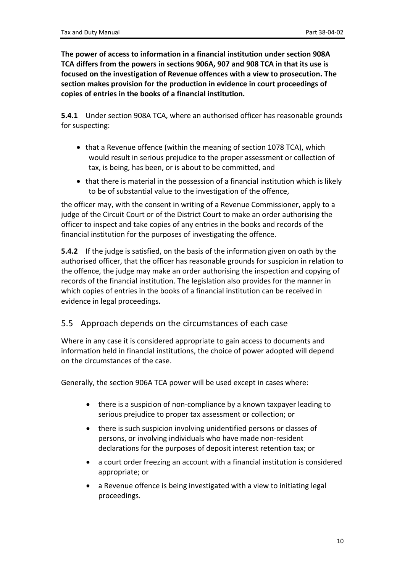**The power of access to information in a financial institution under section 908A TCA differs from the powers in sections 906A, 907 and 908 TCA in that its use is focused on the investigation of Revenue offences with a view to prosecution. The section makes provision for the production in evidence in court proceedings of copies of entries in the books of a financial institution.**

**5.4.1** Under section 908A TCA, where an authorised officer has reasonable grounds for suspecting:

- that a Revenue offence (within the meaning of section 1078 TCA), which would result in serious prejudice to the proper assessment or collection of tax, is being, has been, or is about to be committed, and
- that there is material in the possession of a financial institution which is likely to be of substantial value to the investigation of the offence,

the officer may, with the consent in writing of a Revenue Commissioner, apply to a judge of the Circuit Court or of the District Court to make an order authorising the officer to inspect and take copies of any entries in the books and records of the financial institution for the purposes of investigating the offence.

**5.4.2** If the judge is satisfied, on the basis of the information given on oath by the authorised officer, that the officer has reasonable grounds for suspicion in relation to the offence, the judge may make an order authorising the inspection and copying of records of the financial institution. The legislation also provides for the manner in which copies of entries in the books of a financial institution can be received in evidence in legal proceedings.

### <span id="page-9-0"></span>5.5 Approach depends on the circumstances of each case

Where in any case it is considered appropriate to gain access to documents and information held in financial institutions, the choice of power adopted will depend on the circumstances of the case.

Generally, the section 906A TCA power will be used except in cases where:

- there is a suspicion of non-compliance by a known taxpayer leading to serious prejudice to proper tax assessment or collection; or
- there is such suspicion involving unidentified persons or classes of persons, or involving individuals who have made non-resident declarations for the purposes of deposit interest retention tax; or
- a court order freezing an account with a financial institution is considered appropriate; or
- a Revenue offence is being investigated with a view to initiating legal proceedings.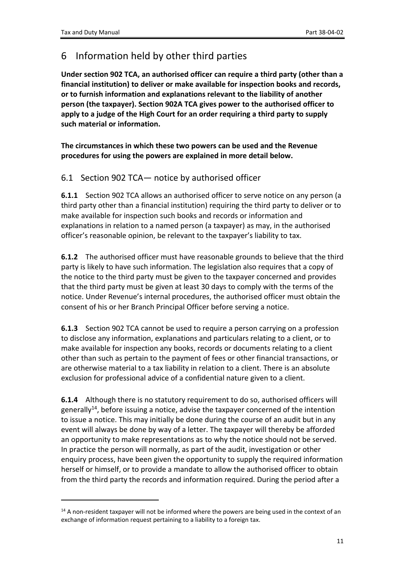# <span id="page-10-0"></span>6 Information held by other third parties

**Under section 902 TCA, an authorised officer can require a third party (other than a financial institution) to deliver or make available for inspection books and records, or to furnish information and explanations relevant to the liability of another person (the taxpayer). Section 902A TCA gives power to the authorised officer to apply to a judge of the High Court for an order requiring a third party to supply such material or information.**

**The circumstances in which these two powers can be used and the Revenue procedures for using the powers are explained in more detail below.**

### <span id="page-10-1"></span>6.1 Section 902 TCA— notice by authorised officer

**6.1.1** Section 902 TCA allows an authorised officer to serve notice on any person (a third party other than a financial institution) requiring the third party to deliver or to make available for inspection such books and records or information and explanations in relation to a named person (a taxpayer) as may, in the authorised officer's reasonable opinion, be relevant to the taxpayer's liability to tax.

**6.1.2** The authorised officer must have reasonable grounds to believe that the third party is likely to have such information. The legislation also requires that a copy of the notice to the third party must be given to the taxpayer concerned and provides that the third party must be given at least 30 days to comply with the terms of the notice. Under Revenue's internal procedures, the authorised officer must obtain the consent of his or her Branch Principal Officer before serving a notice.

**6.1.3** Section 902 TCA cannot be used to require a person carrying on a profession to disclose any information, explanations and particulars relating to a client, or to make available for inspection any books, records or documents relating to a client other than such as pertain to the payment of fees or other financial transactions, or are otherwise material to a tax liability in relation to a client. There is an absolute exclusion for professional advice of a confidential nature given to a client.

**6.1.4** Although there is no statutory requirement to do so, authorised officers will generally<sup>14</sup>, before issuing a notice, advise the taxpayer concerned of the intention to issue a notice. This may initially be done during the course of an audit but in any event will always be done by way of a letter. The taxpayer will thereby be afforded an opportunity to make representations as to why the notice should not be served. In practice the person will normally, as part of the audit, investigation or other enquiry process, have been given the opportunity to supply the required information herself or himself, or to provide a mandate to allow the authorised officer to obtain from the third party the records and information required. During the period after a

<sup>&</sup>lt;sup>14</sup> A non-resident taxpayer will not be informed where the powers are being used in the context of an exchange of information request pertaining to a liability to a foreign tax.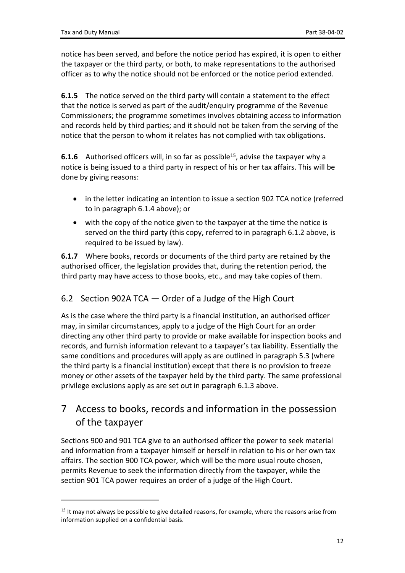notice has been served, and before the notice period has expired, it is open to either the taxpayer or the third party, or both, to make representations to the authorised officer as to why the notice should not be enforced or the notice period extended.

**6.1.5** The notice served on the third party will contain a statement to the effect that the notice is served as part of the audit/enquiry programme of the Revenue Commissioners; the programme sometimes involves obtaining access to information and records held by third parties; and it should not be taken from the serving of the notice that the person to whom it relates has not complied with tax obligations.

**6.1.6** Authorised officers will, in so far as possible<sup>15</sup>, advise the taxpayer why a notice is being issued to a third party in respect of his or her tax affairs. This will be done by giving reasons:

- in the letter indicating an intention to issue a section 902 TCA notice (referred to in paragraph 6.1.4 above); or
- with the copy of the notice given to the taxpayer at the time the notice is served on the third party (this copy, referred to in paragraph 6.1.2 above, is required to be issued by law).

**6.1.7** Where books, records or documents of the third party are retained by the authorised officer, the legislation provides that, during the retention period, the third party may have access to those books, etc., and may take copies of them.

### <span id="page-11-0"></span>6.2 Section 902A TCA — Order of a Judge of the High Court

As is the case where the third party is a financial institution, an authorised officer may, in similar circumstances, apply to a judge of the High Court for an order directing any other third party to provide or make available for inspection books and records, and furnish information relevant to a taxpayer's tax liability. Essentially the same conditions and procedures will apply as are outlined in paragraph 5.3 (where the third party is a financial institution) except that there is no provision to freeze money or other assets of the taxpayer held by the third party. The same professional privilege exclusions apply as are set out in paragraph 6.1.3 above.

# <span id="page-11-1"></span>7 Access to books, records and information in the possession of the taxpayer

Sections 900 and 901 TCA give to an authorised officer the power to seek material and information from a taxpayer himself or herself in relation to his or her own tax affairs. The section 900 TCA power, which will be the more usual route chosen, permits Revenue to seek the information directly from the taxpayer, while the section 901 TCA power requires an order of a judge of the High Court.

<sup>&</sup>lt;sup>15</sup> It may not always be possible to give detailed reasons, for example, where the reasons arise from information supplied on a confidential basis.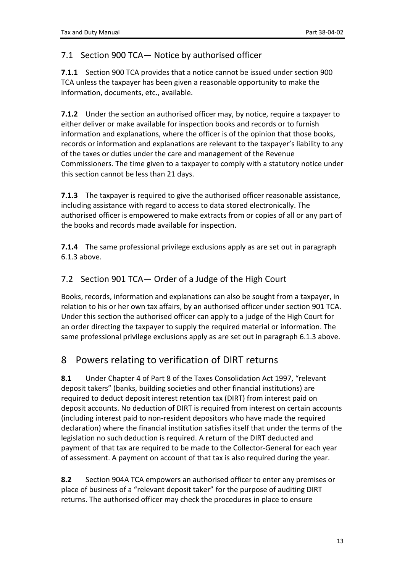#### <span id="page-12-0"></span>7.1 Section 900 TCA— Notice by authorised officer

**7.1.1** Section 900 TCA provides that a notice cannot be issued under section 900 TCA unless the taxpayer has been given a reasonable opportunity to make the information, documents, etc., available.

**7.1.2** Under the section an authorised officer may, by notice, require a taxpayer to either deliver or make available for inspection books and records or to furnish information and explanations, where the officer is of the opinion that those books, records or information and explanations are relevant to the taxpayer's liability to any of the taxes or duties under the care and management of the Revenue Commissioners. The time given to a taxpayer to comply with a statutory notice under this section cannot be less than 21 days.

**7.1.3** The taxpayer is required to give the authorised officer reasonable assistance, including assistance with regard to access to data stored electronically. The authorised officer is empowered to make extracts from or copies of all or any part of the books and records made available for inspection.

**7.1.4** The same professional privilege exclusions apply as are set out in paragraph 6.1.3 above.

### <span id="page-12-1"></span>7.2 Section 901 TCA— Order of a Judge of the High Court

Books, records, information and explanations can also be sought from a taxpayer, in relation to his or her own tax affairs, by an authorised officer under section 901 TCA. Under this section the authorised officer can apply to a judge of the High Court for an order directing the taxpayer to supply the required material or information. The same professional privilege exclusions apply as are set out in paragraph 6.1.3 above.

## <span id="page-12-2"></span>8 Powers relating to verification of DIRT returns

**8.1** Under Chapter 4 of Part 8 of the Taxes Consolidation Act 1997, "relevant deposit takers" (banks, building societies and other financial institutions) are required to deduct deposit interest retention tax (DIRT) from interest paid on deposit accounts. No deduction of DIRT is required from interest on certain accounts (including interest paid to non-resident depositors who have made the required declaration) where the financial institution satisfies itself that under the terms of the legislation no such deduction is required. A return of the DIRT deducted and payment of that tax are required to be made to the Collector-General for each year of assessment. A payment on account of that tax is also required during the year.

**8.2** Section 904A TCA empowers an authorised officer to enter any premises or place of business of a "relevant deposit taker" for the purpose of auditing DIRT returns. The authorised officer may check the procedures in place to ensure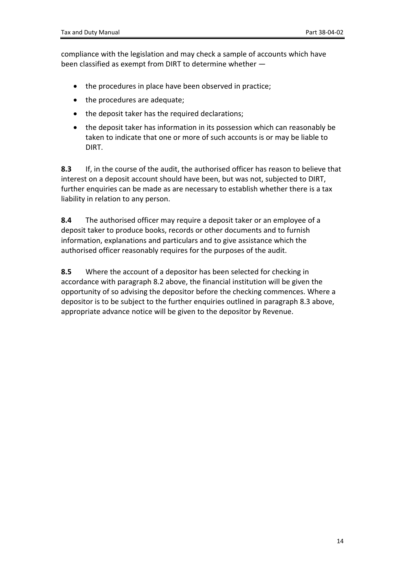compliance with the legislation and may check a sample of accounts which have been classified as exempt from DIRT to determine whether —

- the procedures in place have been observed in practice;
- the procedures are adequate;
- the deposit taker has the required declarations;
- the deposit taker has information in its possession which can reasonably be taken to indicate that one or more of such accounts is or may be liable to DIRT.

**8.3** If, in the course of the audit, the authorised officer has reason to believe that interest on a deposit account should have been, but was not, subjected to DIRT, further enquiries can be made as are necessary to establish whether there is a tax liability in relation to any person.

**8.4** The authorised officer may require a deposit taker or an employee of a deposit taker to produce books, records or other documents and to furnish information, explanations and particulars and to give assistance which the authorised officer reasonably requires for the purposes of the audit.

**8.5** Where the account of a depositor has been selected for checking in accordance with paragraph 8.2 above, the financial institution will be given the opportunity of so advising the depositor before the checking commences. Where a depositor is to be subject to the further enquiries outlined in paragraph 8.3 above, appropriate advance notice will be given to the depositor by Revenue.